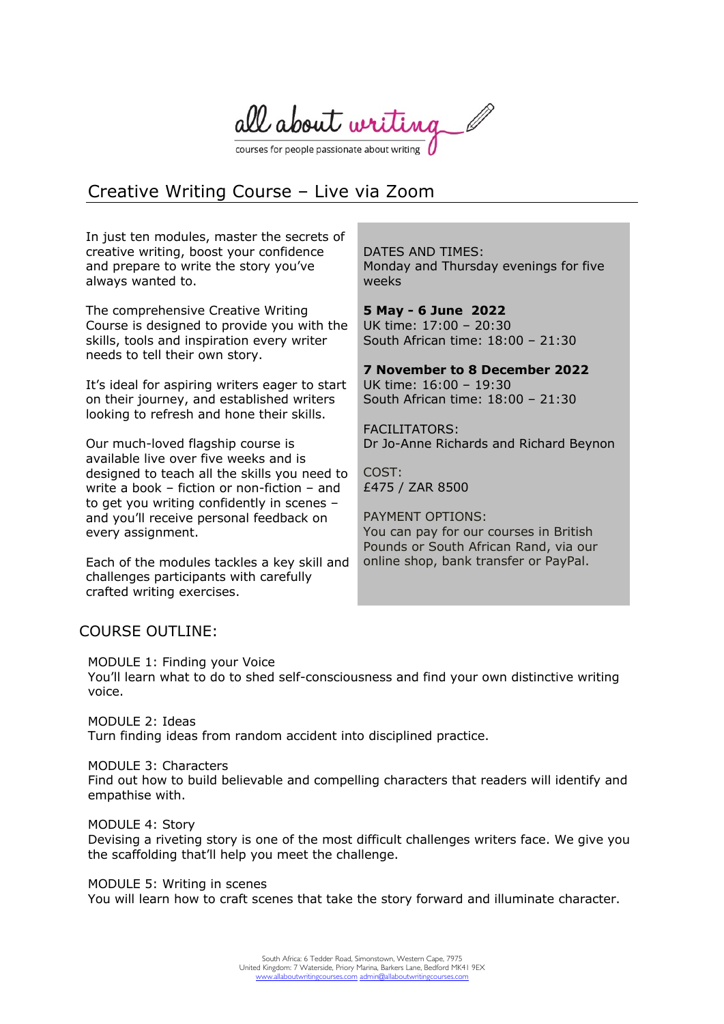all about writing

courses for people passionate about writing

# Creative Writing Course – Live via Zoom

In just ten modules, master the secrets of creative writing, boost your confidence and prepare to write the story you've always wanted to.

The comprehensive Creative Writing Course is designed to provide you with the skills, tools and inspiration every writer needs to tell their own story.

It's ideal for aspiring writers eager to start on their journey, and established writers looking to refresh and hone their skills.

Our much-loved flagship course is available live over five weeks and is designed to teach all the skills you need to write a book – fiction or non-fiction – and to get you writing confidently in scenes – and you'll receive personal feedback on every assignment.

Each of the modules tackles a key skill and challenges participants with carefully crafted writing exercises.

DATES AND TIMES: Monday and Thursday evenings for five weeks

**5 May - 6 June 2022** UK time: 17:00 – 20:30 South African time: 18:00 – 21:30

**7 November to 8 December 2022** UK time: 16:00 – 19:30 South African time: 18:00 – 21:30

**FACILITATORS:** Dr Jo-Anne Richards and Richard Beynon

COST: £475 / ZAR 8500

PAYMENT OPTIONS: You can pay for our courses in British Pounds or South African Rand, via our online shop, bank transfer or PayPal.

## COURSE OUTLINE:

MODULE 1: Finding your Voice You'll learn what to do to shed self-consciousness and find your own distinctive writing voice.

MODULE 2: Ideas Turn finding ideas from random accident into disciplined practice.

MODULE 3: Characters Find out how to build believable and compelling characters that readers will identify and empathise with.

MODULE 4: Story Devising a riveting story is one of the most difficult challenges writers face. We give you the scaffolding that'll help you meet the challenge.

MODULE 5: Writing in scenes You will learn how to craft scenes that take the story forward and illuminate character.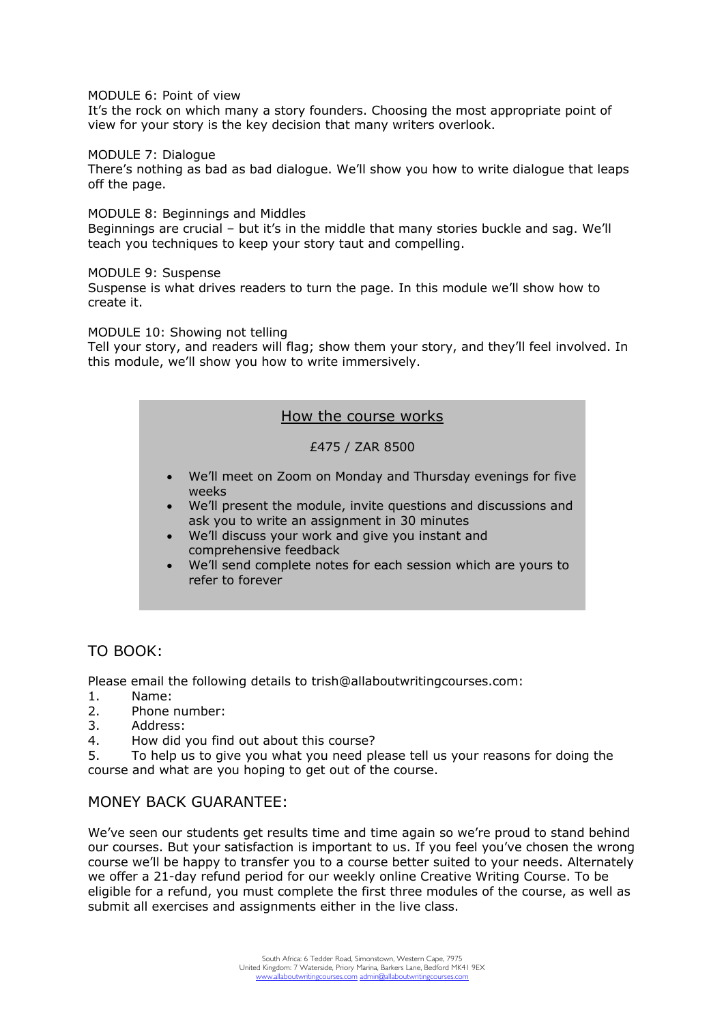MODULE 6: Point of view

It's the rock on which many a story founders. Choosing the most appropriate point of view for your story is the key decision that many writers overlook.

MODULE 7: Dialogue

There's nothing as bad as bad dialogue. We'll show you how to write dialogue that leaps off the page.

MODULE 8: Beginnings and Middles Beginnings are crucial – but it's in the middle that many stories buckle and sag. We'll teach you techniques to keep your story taut and compelling.

MODULE 9: Suspense

Suspense is what drives readers to turn the page. In this module we'll show how to create it.

MODULE 10: Showing not telling

Tell your story, and readers will flag; show them your story, and they'll feel involved. In this module, we'll show you how to write immersively.

#### How the course works

£475 / ZAR 8500

- We'll meet on Zoom on Monday and Thursday evenings for five weeks
- We'll present the module, invite questions and discussions and ask you to write an assignment in 30 minutes
- We'll discuss your work and give you instant and comprehensive feedback
- We'll send complete notes for each session which are yours to refer to forever

### TO BOOK:

Please email the following details to trish@allaboutwritingcourses.com:

- 1. Name:
- 2. Phone number:
- 3. Address:
- 4. How did you find out about this course?

5. To help us to give you what you need please tell us your reasons for doing the course and what are you hoping to get out of the course.

#### MONEY BACK GUARANTEE:

We've seen our students get results time and time again so we're proud to stand behind our courses. But your satisfaction is important to us. If you feel you've chosen the wrong course we'll be happy to transfer you to a course better suited to your needs. Alternately we offer a 21-day refund period for our weekly online Creative Writing Course. To be eligible for a refund, you must complete the first three modules of the course, as well as submit all exercises and assignments either in the live class.